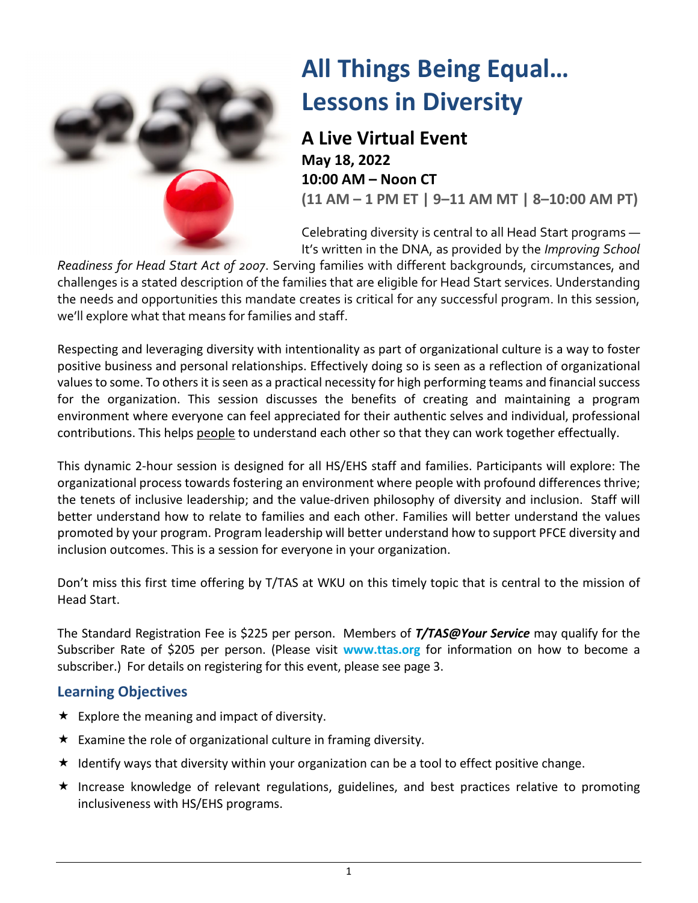

## **All Things Being Equal… Lessons in Diversity**

**A Live Virtual Event May 18, 2022 10:00 AM – Noon CT (11 AM – 1 PM ET | 9–11 AM MT | 8–10:00 AM PT)**

Celebrating diversity is central to all Head Start programs — It's written in the DNA, as provided by the *Improving School* 

*Readiness for Head Start Act of 2007*. Serving families with different backgrounds, circumstances, and challenges is a stated description of the families that are eligible for Head Start services. Understanding the needs and opportunities this mandate creates is critical for any successful program. In this session, we'll explore what that means for families and staff.

Respecting and leveraging diversity with intentionality as part of organizational culture is a way to foster positive business and personal relationships. Effectively doing so is seen as a reflection of organizational values to some. To others it is seen as a practical necessity for high performing teams and financial success for the organization. This session discusses the benefits of creating and maintaining a program environment where everyone can feel appreciated for their authentic selves and individual, professional contributions. This helps [people](https://www.marketing91.com/people-marketing-mix/) to understand each other so that they can work together effectually.

This dynamic 2-hour session is designed for all HS/EHS staff and families. Participants will explore: The organizational process towards fostering an environment where people with profound differences thrive; the tenets of inclusive leadership; and the value-driven philosophy of diversity and inclusion. Staff will better understand how to relate to families and each other. Families will better understand the values promoted by your program. Program leadership will better understand how to support PFCE diversity and inclusion outcomes. This is a session for everyone in your organization.

Don't miss this first time offering by T/TAS at WKU on this timely topic that is central to the mission of Head Start.

The Standard Registration Fee is \$225 per person. Members of *T/TAS@Your Service* may qualify for the Subscriber Rate of \$205 per person. (Please visit **www.ttas.org** for information on how to become a subscriber.) For details on registering for this event, please see page 3.

## **Learning Objectives**

- $\star$  Explore the meaning and impact of diversity.
- $\star$  Examine the role of organizational culture in framing diversity.
- $\star$  Identify ways that diversity within your organization can be a tool to effect positive change.
- $\star$  Increase knowledge of relevant regulations, guidelines, and best practices relative to promoting inclusiveness with HS/EHS programs.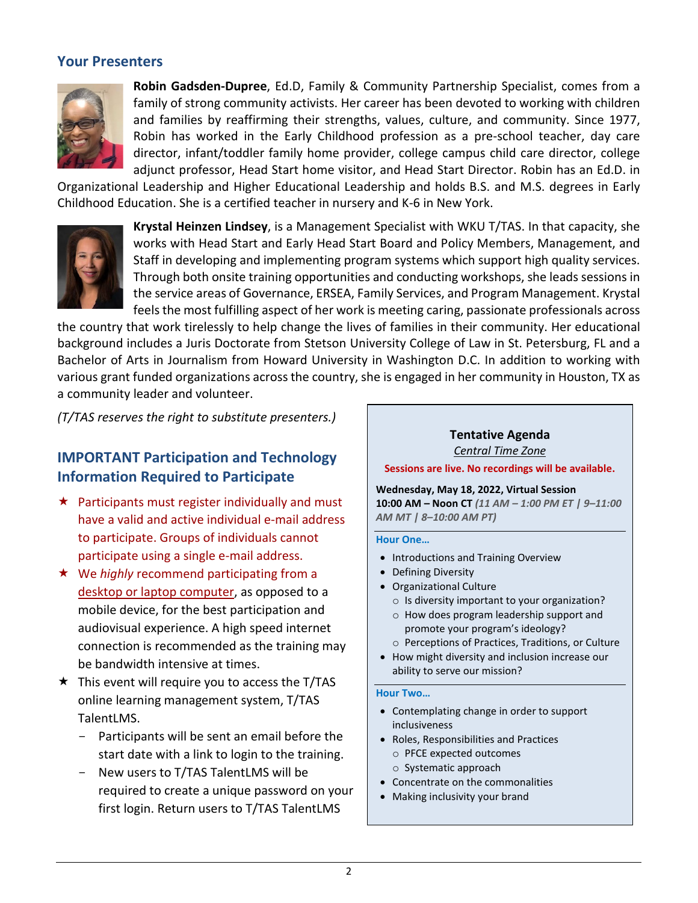### **Your Presenters**



**Robin Gadsden-Dupree**, Ed.D, Family & Community Partnership Specialist, comes from a family of strong community activists. Her career has been devoted to working with children and families by reaffirming their strengths, values, culture, and community. Since 1977, Robin has worked in the Early Childhood profession as a pre-school teacher, day care director, infant/toddler family home provider, college campus child care director, college adjunct professor, Head Start home visitor, and Head Start Director. Robin has an Ed.D. in

Organizational Leadership and Higher Educational Leadership and holds B.S. and M.S. degrees in Early Childhood Education. She is a certified teacher in nursery and K-6 in New York.



**Krystal Heinzen Lindsey**, is a Management Specialist with WKU T/TAS. In that capacity, she works with Head Start and Early Head Start Board and Policy Members, Management, and Staff in developing and implementing program systems which support high quality services. Through both onsite training opportunities and conducting workshops, she leads sessions in the service areas of Governance, ERSEA, Family Services, and Program Management. Krystal feels the most fulfilling aspect of her work is meeting caring, passionate professionals across

the country that work tirelessly to help change the lives of families in their community. Her educational background includes a Juris Doctorate from Stetson University College of Law in St. Petersburg, FL and a Bachelor of Arts in Journalism from Howard University in Washington D.C. In addition to working with various grant funded organizations across the country, she is engaged in her community in Houston, TX as a community leader and volunteer.

*(T/TAS reserves the right to substitute presenters.)*

## **IMPORTANT Participation and Technology Information Required to Participate**

- $\star$  Participants must register individually and must have a valid and active individual e-mail address to participate. Groups of individuals cannot participate using a single e-mail address.
- **★** We *highly* recommend participating from a desktop or laptop computer, as opposed to a mobile device, for the best participation and audiovisual experience. A high speed internet connection is recommended as the training may be bandwidth intensive at times.
- $\star$  This event will require you to access the T/TAS online learning management system, T/TAS TalentLMS.
	- Participants will be sent an email before the start date with a link to login to the training.
	- New users to T/TAS TalentLMS will be required to create a unique password on your first login. Return users to T/TAS TalentLMS

#### **Tentative Agenda** *Central Time Zone*

**Sessions are live. No recordings will be available.**

**Wednesday, May 18, 2022, Virtual Session 10:00 AM – Noon CT** *(11 AM – 1:00 PM ET | 9–11:00 AM MT | 8–10:00 AM PT)*

#### **Hour One…**

- Introductions and Training Overview
- Defining Diversity
- Organizational Culture
	- o Is diversity important to your organization?
	- o How does program leadership support and promote your program's ideology?
- o Perceptions of Practices, Traditions, or Culture
- How might diversity and inclusion increase our ability to serve our mission?

#### **Hour Two…**

- Contemplating change in order to support inclusiveness
- Roles, Responsibilities and Practices
	- o PFCE expected outcomes
	- o Systematic approach
- Concentrate on the commonalities
- Making inclusivity your brand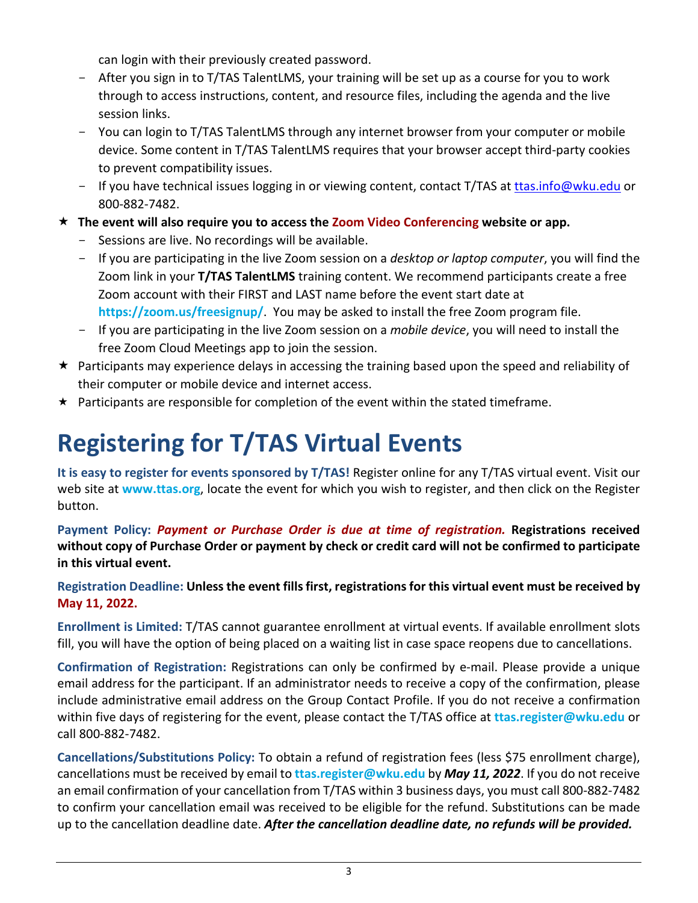can login with their previously created password.

- After you sign in to T/TAS TalentLMS, your training will be set up as a course for you to work through to access instructions, content, and resource files, including the agenda and the live session links.
- You can login to T/TAS TalentLMS through any internet browser from your computer or mobile device. Some content in T/TAS TalentLMS requires that your browser accept third-party cookies to prevent compatibility issues.
- If you have technical issues logging in or viewing content, contact T/TAS at [ttas.info@wku.edu](mailto:ttas.info@wku.edu) or 800-882-7482.
- **The event will also require you to access the Zoom Video Conferencing website or app.** 
	- Sessions are live. No recordings will be available.
	- If you are participating in the live Zoom session on a *desktop or laptop computer*, you will find the Zoom link in your **T/TAS TalentLMS** training content. We recommend participants create a free Zoom account with their FIRST and LAST name before the event start date at **<https://zoom.us/freesignup/>**. You may be asked to install the free Zoom program file.
	- If you are participating in the live Zoom session on a *mobile device*, you will need to install the free Zoom Cloud Meetings app to join the session.
- $\star$  Participants may experience delays in accessing the training based upon the speed and reliability of their computer or mobile device and internet access.
- $\star$  Participants are responsible for completion of the event within the stated timeframe.

# **Registering for T/TAS Virtual Events**

**It is easy to register for events sponsored by T/TAS!** Register online for any T/TAS virtual event. Visit our web site at **www.ttas.org**, locate the event for which you wish to register, and then click on the Register button.

**Payment Policy:** *Payment or Purchase Order is due at time of registration.* **Registrations received without copy of Purchase Order or payment by check or credit card will not be confirmed to participate in this virtual event.**

## **Registration Deadline: Unless the event fills first, registrations for this virtual event must be received by May 11, 2022.**

**Enrollment is Limited:** T/TAS cannot guarantee enrollment at virtual events. If available enrollment slots fill, you will have the option of being placed on a waiting list in case space reopens due to cancellations.

**Confirmation of Registration:** Registrations can only be confirmed by e-mail. Please provide a unique email address for the participant. If an administrator needs to receive a copy of the confirmation, please include administrative email address on the Group Contact Profile. If you do not receive a confirmation within five days of registering for the event, please contact the T/TAS office at **[ttas.register@wku.edu](mailto:ttas.register@wku.edu)** or call 800-882-7482.

**Cancellations/Substitutions Policy:** To obtain a refund of registration fees (less \$75 enrollment charge), cancellations must be received by email to **[ttas.register@wku.edu](mailto:ttas.register@wku.edu)** by *May 11, 2022*. If you do not receive an email confirmation of your cancellation from T/TAS within 3 business days, you must call 800-882-7482 to confirm your cancellation email was received to be eligible for the refund. Substitutions can be made up to the cancellation deadline date. *After the cancellation deadline date, no refunds will be provided.*